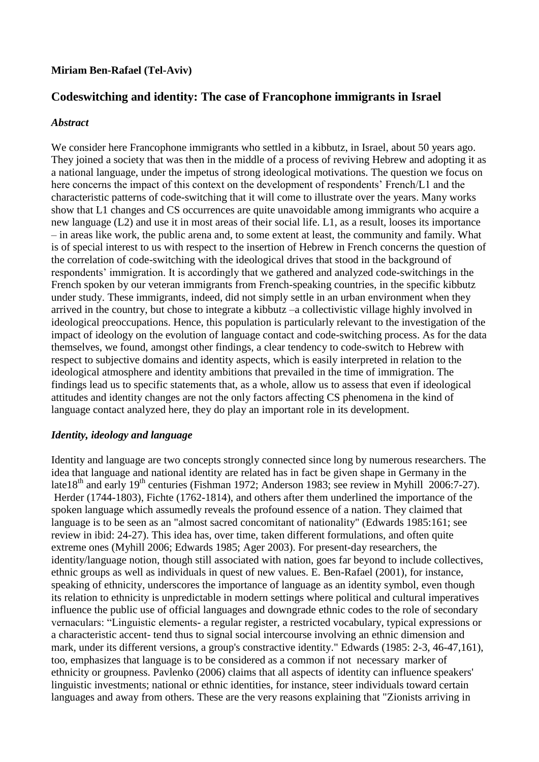#### **Miriam Ben-Rafael (Tel-Aviv)**

# **Codeswitching and identity: The case of Francophone immigrants in Israel**

#### *Abstract*

We consider here Francophone immigrants who settled in a kibbutz, in Israel, about 50 years ago. They joined a society that was then in the middle of a process of reviving Hebrew and adopting it as a national language, under the impetus of strong ideological motivations. The question we focus on here concerns the impact of this context on the development of respondents' French/L1 and the characteristic patterns of code-switching that it will come to illustrate over the years. Many works show that L1 changes and CS occurrences are quite unavoidable among immigrants who acquire a new language (L2) and use it in most areas of their social life. L1, as a result, looses its importance – in areas like work, the public arena and, to some extent at least, the community and family. What is of special interest to us with respect to the insertion of Hebrew in French concerns the question of the correlation of code-switching with the ideological drives that stood in the background of respondents' immigration. It is accordingly that we gathered and analyzed code-switchings in the French spoken by our veteran immigrants from French-speaking countries, in the specific kibbutz under study. These immigrants, indeed, did not simply settle in an urban environment when they arrived in the country, but chose to integrate a kibbutz –a collectivistic village highly involved in ideological preoccupations. Hence, this population is particularly relevant to the investigation of the impact of ideology on the evolution of language contact and code-switching process. As for the data themselves, we found, amongst other findings, a clear tendency to code-switch to Hebrew with respect to subjective domains and identity aspects, which is easily interpreted in relation to the ideological atmosphere and identity ambitions that prevailed in the time of immigration. The findings lead us to specific statements that, as a whole, allow us to assess that even if ideological attitudes and identity changes are not the only factors affecting CS phenomena in the kind of language contact analyzed here, they do play an important role in its development.

#### *Identity, ideology and language*

Identity and language are two concepts strongly connected since long by numerous researchers. The idea that language and national identity are related has in fact be given shape in Germany in the late18<sup>th</sup> and early 19<sup>th</sup> centuries (Fishman 1972; Anderson 1983; see review in Myhill 2006:7-27). Herder (1744-1803), Fichte (1762-1814), and others after them underlined the importance of the spoken language which assumedly reveals the profound essence of a nation. They claimed that language is to be seen as an "almost sacred concomitant of nationality" (Edwards 1985:161; see review in ibid: 24-27). This idea has, over time, taken different formulations, and often quite extreme ones (Myhill 2006; Edwards 1985; Ager 2003). For present-day researchers, the identity/language notion, though still associated with nation, goes far beyond to include collectives, ethnic groups as well as individuals in quest of new values. E. Ben-Rafael (2001), for instance, speaking of ethnicity, underscores the importance of language as an identity symbol, even though its relation to ethnicity is unpredictable in modern settings where political and cultural imperatives influence the public use of official languages and downgrade ethnic codes to the role of secondary vernaculars: "Linguistic elements- a regular register, a restricted vocabulary, typical expressions or a characteristic accent- tend thus to signal social intercourse involving an ethnic dimension and mark, under its different versions, a group's constractive identity." Edwards (1985: 2-3, 46-47,161), too, emphasizes that language is to be considered as a common if not necessary marker of ethnicity or groupness. Pavlenko (2006) claims that all aspects of identity can influence speakers' linguistic investments; national or ethnic identities, for instance, steer individuals toward certain languages and away from others. These are the very reasons explaining that "Zionists arriving in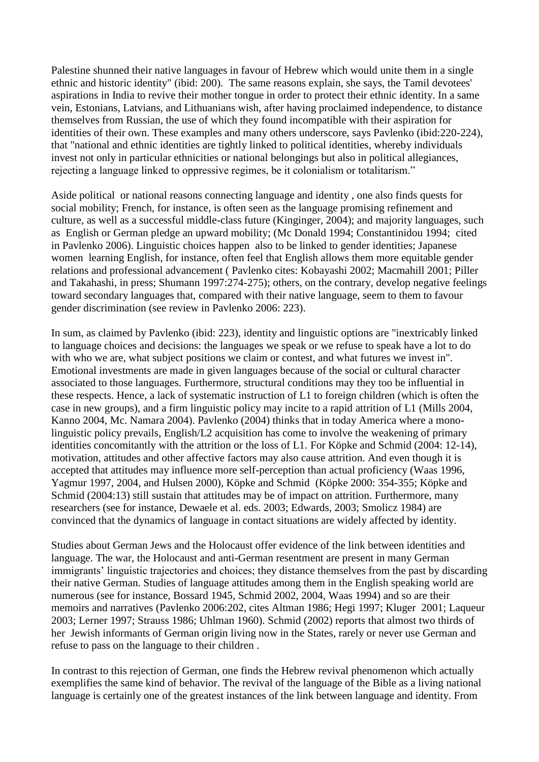Palestine shunned their native languages in favour of Hebrew which would unite them in a single ethnic and historic identity" (ibid: 200). The same reasons explain, she says, the Tamil devotees' aspirations in India to revive their mother tongue in order to protect their ethnic identity. In a same vein, Estonians, Latvians, and Lithuanians wish, after having proclaimed independence, to distance themselves from Russian, the use of which they found incompatible with their aspiration for identities of their own. These examples and many others underscore, says Pavlenko (ibid:220-224), that "national and ethnic identities are tightly linked to political identities, whereby individuals invest not only in particular ethnicities or national belongings but also in political allegiances, rejecting a language linked to oppressive regimes, be it colonialism or totalitarism."

Aside political or national reasons connecting language and identity , one also finds quests for social mobility; French, for instance, is often seen as the language promising refinement and culture, as well as a successful middle-class future (Kinginger, 2004); and majority languages, such as English or German pledge an upward mobility; (Mc Donald 1994; Constantinidou 1994; cited in Pavlenko 2006). Linguistic choices happen also to be linked to gender identities; Japanese women learning English, for instance, often feel that English allows them more equitable gender relations and professional advancement ( Pavlenko cites: Kobayashi 2002; Macmahill 2001; Piller and Takahashi, in press; Shumann 1997:274-275); others, on the contrary, develop negative feelings toward secondary languages that, compared with their native language, seem to them to favour gender discrimination (see review in Pavlenko 2006: 223).

In sum, as claimed by Pavlenko (ibid: 223), identity and linguistic options are "inextricably linked to language choices and decisions: the languages we speak or we refuse to speak have a lot to do with who we are, what subject positions we claim or contest, and what futures we invest in". Emotional investments are made in given languages because of the social or cultural character associated to those languages. Furthermore, structural conditions may they too be influential in these respects. Hence, a lack of systematic instruction of L1 to foreign children (which is often the case in new groups), and a firm linguistic policy may incite to a rapid attrition of L1 (Mills 2004, Kanno 2004, Mc. Namara 2004). Pavlenko (2004) thinks that in today America where a monolinguistic policy prevails, English/L2 acquisition has come to involve the weakening of primary identities concomitantly with the attrition or the loss of L1*.* For Köpke and Schmid (2004: 12-14), motivation, attitudes and other affective factors may also cause attrition. And even though it is accepted that attitudes may influence more self-perception than actual proficiency (Waas 1996, Yagmur 1997, 2004, and Hulsen 2000), Köpke and Schmid (Köpke 2000: 354-355; Köpke and Schmid (2004:13) still sustain that attitudes may be of impact on attrition. Furthermore, many researchers (see for instance, Dewaele et al. eds. 2003; Edwards, 2003; Smolicz 1984) are convinced that the dynamics of language in contact situations are widely affected by identity.

Studies about German Jews and the Holocaust offer evidence of the link between identities and language. The war, the Holocaust and anti-German resentment are present in many German immigrants' linguistic trajectories and choices; they distance themselves from the past by discarding their native German. Studies of language attitudes among them in the English speaking world are numerous (see for instance, Bossard 1945, Schmid 2002, 2004, Waas 1994) and so are their memoirs and narratives (Pavlenko 2006:202, cites Altman 1986; Hegi 1997; Kluger 2001; Laqueur 2003; Lerner 1997; Strauss 1986; Uhlman 1960). Schmid (2002) reports that almost two thirds of her Jewish informants of German origin living now in the States, rarely or never use German and refuse to pass on the language to their children .

In contrast to this rejection of German, one finds the Hebrew revival phenomenon which actually exemplifies the same kind of behavior. The revival of the language of the Bible as a living national language is certainly one of the greatest instances of the link between language and identity. From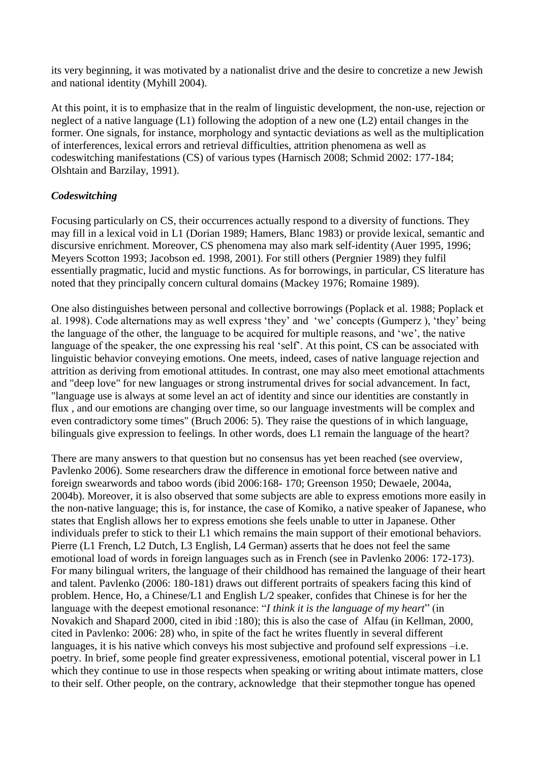its very beginning, it was motivated by a nationalist drive and the desire to concretize a new Jewish and national identity (Myhill 2004).

At this point, it is to emphasize that in the realm of linguistic development, the non-use, rejection or neglect of a native language (L1) following the adoption of a new one (L2) entail changes in the former. One signals, for instance, morphology and syntactic deviations as well as the multiplication of interferences, lexical errors and retrieval difficulties, attrition phenomena as well as codeswitching manifestations (CS) of various types (Harnisch 2008; Schmid 2002: 177-184; Olshtain and Barzilay, 1991).

#### *Codeswitching*

Focusing particularly on CS, their occurrences actually respond to a diversity of functions. They may fill in a lexical void in L1 (Dorian 1989; Hamers, Blanc 1983) or provide lexical, semantic and discursive enrichment. Moreover, CS phenomena may also mark self-identity (Auer 1995, 1996; Meyers Scotton 1993; Jacobson ed. 1998, 2001). For still others (Pergnier 1989) they fulfil essentially pragmatic, lucid and mystic functions. As for borrowings, in particular, CS literature has noted that they principally concern cultural domains (Mackey 1976; Romaine 1989).

One also distinguishes between personal and collective borrowings (Poplack et al. 1988; Poplack et al. 1998). Code alternations may as well express "they" and "we" concepts (Gumperz ), "they" being the language of the other, the language to be acquired for multiple reasons, and "we", the native language of the speaker, the one expressing his real "self". At this point, CS can be associated with linguistic behavior conveying emotions. One meets, indeed, cases of native language rejection and attrition as deriving from emotional attitudes. In contrast, one may also meet emotional attachments and "deep love" for new languages or strong instrumental drives for social advancement. In fact, "language use is always at some level an act of identity and since our identities are constantly in flux , and our emotions are changing over time, so our language investments will be complex and even contradictory some times" (Bruch 2006: 5). They raise the questions of in which language, bilinguals give expression to feelings. In other words, does L1 remain the language of the heart?

There are many answers to that question but no consensus has yet been reached (see overview, Pavlenko 2006). Some researchers draw the difference in emotional force between native and foreign swearwords and taboo words (ibid 2006:168- 170; Greenson 1950; Dewaele, 2004a, 2004b). Moreover, it is also observed that some subjects are able to express emotions more easily in the non-native language; this is, for instance, the case of Komiko, a native speaker of Japanese, who states that English allows her to express emotions she feels unable to utter in Japanese. Other individuals prefer to stick to their L1 which remains the main support of their emotional behaviors. Pierre (L1 French, L2 Dutch, L3 English, L4 German) asserts that he does not feel the same emotional load of words in foreign languages such as in French (see in Pavlenko 2006: 172-173). For many bilingual writers, the language of their childhood has remained the language of their heart and talent. Pavlenko (2006: 180-181) draws out different portraits of speakers facing this kind of problem. Hence, Ho, a Chinese/L1 and English L/2 speaker, confides that Chinese is for her the language with the deepest emotional resonance: "*I think it is the language of my heart*" (in Novakich and Shapard 2000, cited in ibid :180); this is also the case of Alfau (in Kellman, 2000, cited in Pavlenko: 2006: 28) who, in spite of the fact he writes fluently in several different languages, it is his native which conveys his most subjective and profound self expressions –i.e. poetry. In brief, some people find greater expressiveness, emotional potential, visceral power in L1 which they continue to use in those respects when speaking or writing about intimate matters, close to their self. Other people, on the contrary, acknowledge that their stepmother tongue has opened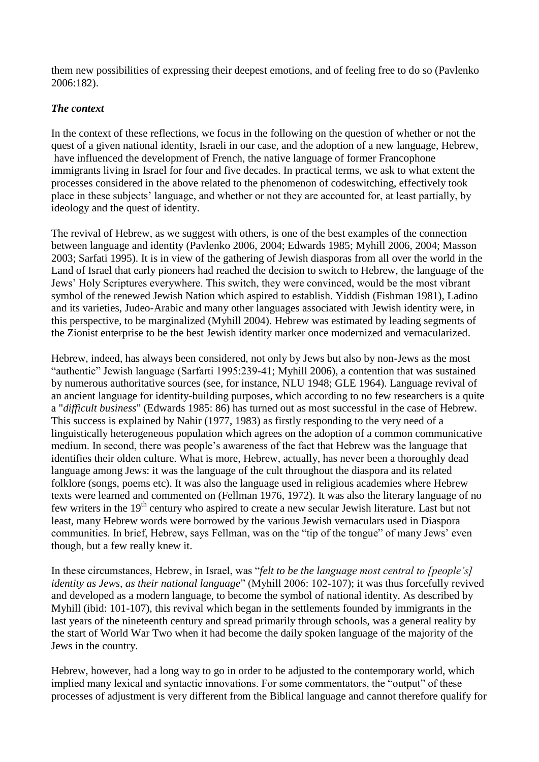them new possibilities of expressing their deepest emotions, and of feeling free to do so (Pavlenko 2006:182).

# *The context*

In the context of these reflections, we focus in the following on the question of whether or not the quest of a given national identity, Israeli in our case, and the adoption of a new language, Hebrew, have influenced the development of French, the native language of former Francophone immigrants living in Israel for four and five decades. In practical terms, we ask to what extent the processes considered in the above related to the phenomenon of codeswitching, effectively took place in these subjects" language, and whether or not they are accounted for, at least partially, by ideology and the quest of identity.

The revival of Hebrew, as we suggest with others, is one of the best examples of the connection between language and identity (Pavlenko 2006, 2004; Edwards 1985; Myhill 2006, 2004; Masson 2003; Sarfati 1995). It is in view of the gathering of Jewish diasporas from all over the world in the Land of Israel that early pioneers had reached the decision to switch to Hebrew, the language of the Jews" Holy Scriptures everywhere. This switch, they were convinced, would be the most vibrant symbol of the renewed Jewish Nation which aspired to establish. Yiddish (Fishman 1981), Ladino and its varieties, Judeo-Arabic and many other languages associated with Jewish identity were, in this perspective, to be marginalized (Myhill 2004). Hebrew was estimated by leading segments of the Zionist enterprise to be the best Jewish identity marker once modernized and vernacularized.

Hebrew, indeed, has always been considered, not only by Jews but also by non-Jews as the most "authentic" Jewish language (Sarfarti 1995:239-41; Myhill 2006), a contention that was sustained by numerous authoritative sources (see, for instance, NLU 1948; GLE 1964). Language revival of an ancient language for identity-building purposes, which according to no few researchers is a quite a "*difficult business*" (Edwards 1985: 86) has turned out as most successful in the case of Hebrew. This success is explained by Nahir (1977, 1983) as firstly responding to the very need of a linguistically heterogeneous population which agrees on the adoption of a common communicative medium. In second, there was people"s awareness of the fact that Hebrew was the language that identifies their olden culture. What is more, Hebrew, actually, has never been a thoroughly dead language among Jews: it was the language of the cult throughout the diaspora and its related folklore (songs, poems etc). It was also the language used in religious academies where Hebrew texts were learned and commented on (Fellman 1976, 1972). It was also the literary language of no few writers in the 19<sup>th</sup> century who aspired to create a new secular Jewish literature. Last but not least, many Hebrew words were borrowed by the various Jewish vernaculars used in Diaspora communities. In brief, Hebrew, says Fellman, was on the "tip of the tongue" of many Jews' even though, but a few really knew it.

In these circumstances, Hebrew, in Israel, was "*felt to be the language most central to [people's] identity as Jews, as their national language*" (Myhill 2006: 102-107); it was thus forcefully revived and developed as a modern language, to become the symbol of national identity. As described by Myhill (ibid: 101-107), this revival which began in the settlements founded by immigrants in the last years of the nineteenth century and spread primarily through schools, was a general reality by the start of World War Two when it had become the daily spoken language of the majority of the Jews in the country.

Hebrew, however, had a long way to go in order to be adjusted to the contemporary world, which implied many lexical and syntactic innovations. For some commentators, the "output" of these processes of adjustment is very different from the Biblical language and cannot therefore qualify for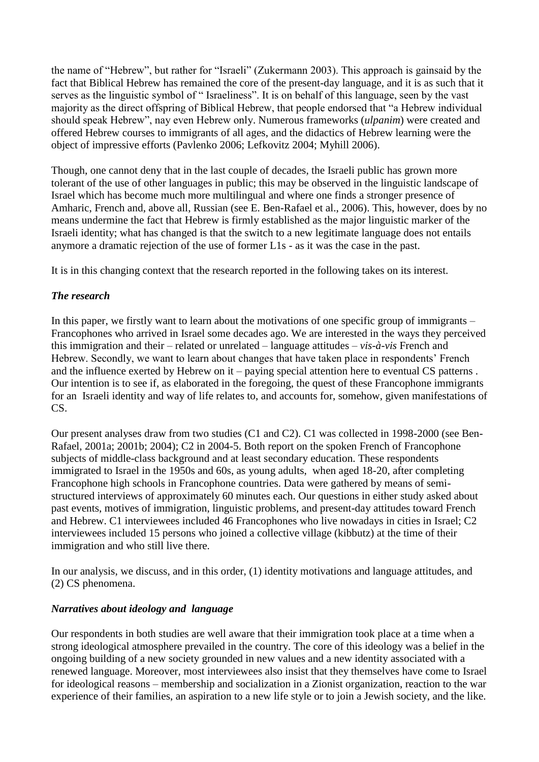the name of "Hebrew", but rather for "Israeli" (Zukermann 2003). This approach is gainsaid by the fact that Biblical Hebrew has remained the core of the present-day language, and it is as such that it serves as the linguistic symbol of " Israeliness". It is on behalf of this language, seen by the vast majority as the direct offspring of Biblical Hebrew, that people endorsed that "a Hebrew individual should speak Hebrew", nay even Hebrew only. Numerous frameworks (*ulpanim*) were created and offered Hebrew courses to immigrants of all ages, and the didactics of Hebrew learning were the object of impressive efforts (Pavlenko 2006; Lefkovitz 2004; Myhill 2006).

Though, one cannot deny that in the last couple of decades, the Israeli public has grown more tolerant of the use of other languages in public; this may be observed in the linguistic landscape of Israel which has become much more multilingual and where one finds a stronger presence of Amharic, French and, above all, Russian (see E. Ben-Rafael et al., 2006). This, however, does by no means undermine the fact that Hebrew is firmly established as the major linguistic marker of the Israeli identity; what has changed is that the switch to a new legitimate language does not entails anymore a dramatic rejection of the use of former L1s - as it was the case in the past.

It is in this changing context that the research reported in the following takes on its interest.

# *The research*

In this paper, we firstly want to learn about the motivations of one specific group of immigrants – Francophones who arrived in Israel some decades ago. We are interested in the ways they perceived this immigration and their – related or unrelated – language attitudes – *vis-à-vis* French and Hebrew. Secondly, we want to learn about changes that have taken place in respondents' French and the influence exerted by Hebrew on it – paying special attention here to eventual CS patterns . Our intention is to see if, as elaborated in the foregoing, the quest of these Francophone immigrants for an Israeli identity and way of life relates to, and accounts for, somehow, given manifestations of CS.

Our present analyses draw from two studies (C1 and C2). C1 was collected in 1998-2000 (see Ben-Rafael, 2001a; 2001b; 2004); C2 in 2004-5. Both report on the spoken French of Francophone subjects of middle-class background and at least secondary education. These respondents immigrated to Israel in the 1950s and 60s, as young adults, when aged 18-20, after completing Francophone high schools in Francophone countries. Data were gathered by means of semistructured interviews of approximately 60 minutes each. Our questions in either study asked about past events, motives of immigration, linguistic problems, and present-day attitudes toward French and Hebrew. C1 interviewees included 46 Francophones who live nowadays in cities in Israel; C2 interviewees included 15 persons who joined a collective village (kibbutz) at the time of their immigration and who still live there.

In our analysis, we discuss, and in this order, (1) identity motivations and language attitudes, and (2) CS phenomena.

## *Narratives about ideology and language*

Our respondents in both studies are well aware that their immigration took place at a time when a strong ideological atmosphere prevailed in the country. The core of this ideology was a belief in the ongoing building of a new society grounded in new values and a new identity associated with a renewed language. Moreover, most interviewees also insist that they themselves have come to Israel for ideological reasons – membership and socialization in a Zionist organization, reaction to the war experience of their families, an aspiration to a new life style or to join a Jewish society, and the like.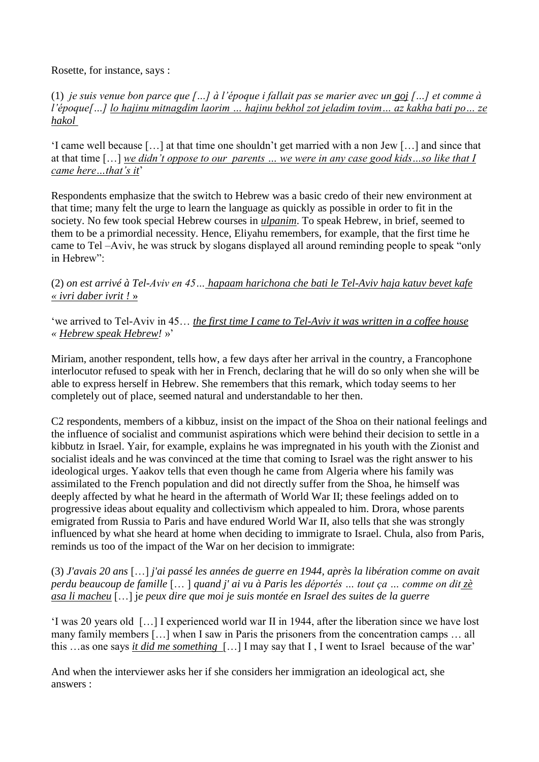Rosette, for instance, says :

(1) *je suis venue bon parce que […] à l'époque i fallait pas se marier avec un goj […] et comme à l'époque[…] lo hajinu mitnagdim laorim … hajinu bekhol zot jeladim tovim… az kakha bati po… ze hakol*

"I came well because […] at that time one shouldn"t get married with a non Jew […] and since that at that time […] *we didn't oppose to our parents … we were in any case good kids…so like that I came here…that's it*"

Respondents emphasize that the switch to Hebrew was a basic credo of their new environment at that time; many felt the urge to learn the language as quickly as possible in order to fit in the society. No few took special Hebrew courses in *ulpanim*. To speak Hebrew, in brief, seemed to them to be a primordial necessity. Hence, Eliyahu remembers, for example, that the first time he came to Tel –Aviv, he was struck by slogans displayed all around reminding people to speak "only in Hebrew":

(2) *on est arrivé à Tel-Aviv en 45… hapaam harichona che bati le Tel-Aviv haja katuv bevet kafe « ivri daber ivrit !* »

"we arrived to Tel-Aviv in 45… *the first time I came to Tel-Aviv it was written in a coffee house « Hebrew speak Hebrew!* »"

Miriam, another respondent, tells how, a few days after her arrival in the country, a Francophone interlocutor refused to speak with her in French, declaring that he will do so only when she will be able to express herself in Hebrew. She remembers that this remark, which today seems to her completely out of place, seemed natural and understandable to her then.

C2 respondents, members of a kibbuz, insist on the impact of the Shoa on their national feelings and the influence of socialist and communist aspirations which were behind their decision to settle in a kibbutz in Israel. Yair, for example, explains he was impregnated in his youth with the Zionist and socialist ideals and he was convinced at the time that coming to Israel was the right answer to his ideological urges. Yaakov tells that even though he came from Algeria where his family was assimilated to the French population and did not directly suffer from the Shoa, he himself was deeply affected by what he heard in the aftermath of World War II; these feelings added on to progressive ideas about equality and collectivism which appealed to him. Drora, whose parents emigrated from Russia to Paris and have endured World War II, also tells that she was strongly influenced by what she heard at home when deciding to immigrate to Israel. Chula, also from Paris, reminds us too of the impact of the War on her decision to immigrate:

(3) *J'avais 20 ans* […] *j'ai passé les années de guerre en 1944, après la libération comme on avait perdu beaucoup de famille* [… ] *quand j' ai vu à Paris les déportés … tout ça … comme on dit zè asa li macheu* […] j*e peux dire que moi je suis montée en Israel des suites de la guerre*

"I was 20 years old […] I experienced world war II in 1944, after the liberation since we have lost many family members […] when I saw in Paris the prisoners from the concentration camps … all this …as one says *it did me something* […] I may say that I , I went to Israel because of the war"

And when the interviewer asks her if she considers her immigration an ideological act, she answers :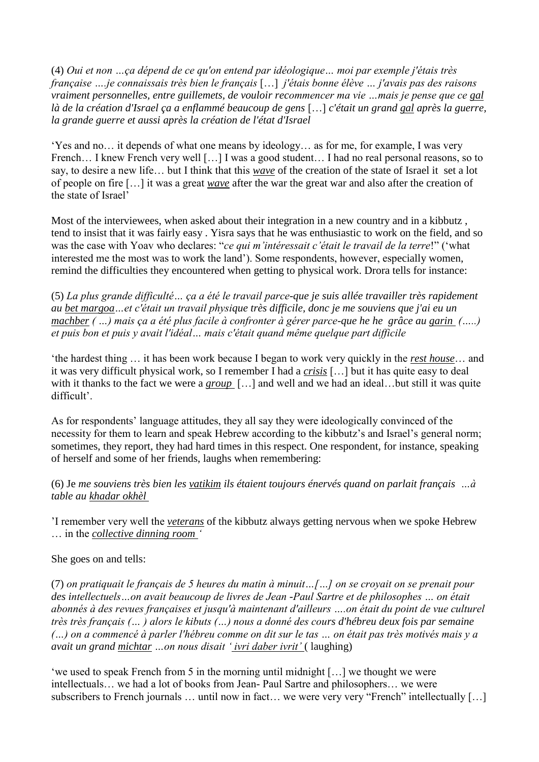(4) *Oui et non …ça dépend de ce qu'on entend par idéologique… moi par exemple j'étais très française ….je connaissais très bien le français* […] *j'étais bonne élève … j'avais pas des raisons vraiment personnelles, entre guillemets, de vouloir recommencer ma vie …mais je pense que ce gal là de la création d'Israel ça a enflammé beaucoup de gens* […] *c'était un grand gal après la guerre, la grande guerre et aussi après la création de l'état d'Israel*

"Yes and no… it depends of what one means by ideology… as for me, for example, I was very French... I knew French very well [...] I was a good student... I had no real personal reasons, so to say, to desire a new life… but I think that this *wave* of the creation of the state of Israel it set a lot of people on fire […] it was a great *wave* after the war the great war and also after the creation of the state of Israel<sup>7</sup>

Most of the interviewees, when asked about their integration in a new country and in a kibbutz , tend to insist that it was fairly easy . Yisra says that he was enthusiastic to work on the field, and so was the case with Yoav who declares: "*ce qui m'intéressait c'était le travail de la terre*!" ("what interested me the most was to work the land"). Some respondents, however, especially women, remind the difficulties they encountered when getting to physical work. Drora tells for instance:

(5) *La plus grande difficulté… ça a été le travail parce-que je suis allée travailler très rapidement au bet margoa…et c'était un travail physique très difficile, donc je me souviens que j'ai eu un machber ( …) mais ça a été plus facile à confronter à gérer parce-que he he grâce au garin (…..) et puis bon et puis y avait l'idéal… mais c'était quand même quelque part difficile*

"the hardest thing … it has been work because I began to work very quickly in the *rest house*… and it was very difficult physical work, so I remember I had a *crisis* […] but it has quite easy to deal with it thanks to the fact we were a *group* [...] and well and we had an ideal...but still it was quite difficult'.

As for respondents' language attitudes, they all say they were ideologically convinced of the necessity for them to learn and speak Hebrew according to the kibbutz's and Israel's general norm; sometimes, they report, they had hard times in this respect. One respondent, for instance, speaking of herself and some of her friends, laughs when remembering:

(6) Je *me souviens très bien les vatikim ils étaient toujours énervés quand on parlait français …à table au khadar okhèl*

"I remember very well the *veterans* of the kibbutz always getting nervous when we spoke Hebrew … in the *collective dinning room '*

She goes on and tells:

(7) *on pratiquait le français de 5 heures du matin à minuit…[…] on se croyait on se prenait pour des intellectuels…on avait beaucoup de livres de Jean -Paul Sartre et de philosophes … on était abonnés à des revues françaises et jusqu'à maintenant d'ailleurs ….on était du point de vue culturel très très français (… ) alors le kibuts (…) nous a donné des cours d'hébreu deux fois par semaine (…) on a commencé à parler l'hébreu comme on dit sur le tas … on était pas très motivés mais y a avait un grand michtar …on nous disait ' ivri daber ivrit'* ( laughing)

"we used to speak French from 5 in the morning until midnight  $[\dots]$  we thought we were intellectuals… we had a lot of books from Jean- Paul Sartre and philosophers… we were subscribers to French journals … until now in fact… we were very very "French" intellectually […]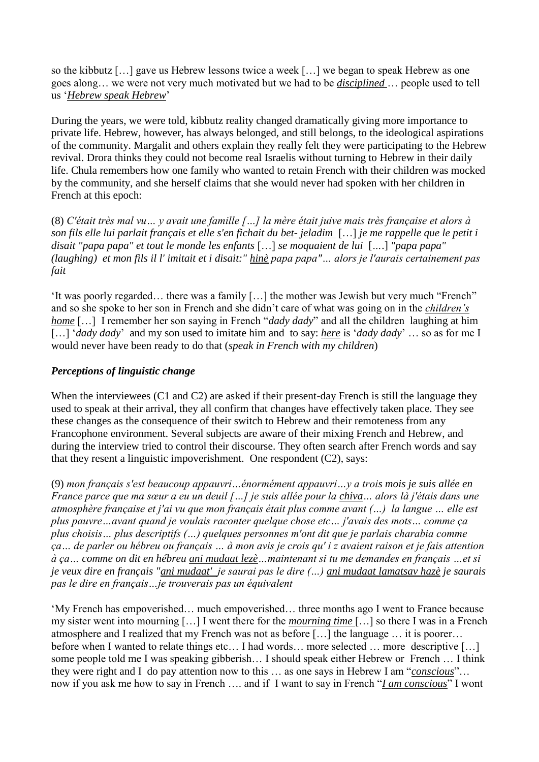so the kibbutz […] gave us Hebrew lessons twice a week […] we began to speak Hebrew as one goes along… we were not very much motivated but we had to be *disciplined* … people used to tell us "*Hebrew speak Hebrew*"

During the years, we were told, kibbutz reality changed dramatically giving more importance to private life. Hebrew, however, has always belonged, and still belongs, to the ideological aspirations of the community. Margalit and others explain they really felt they were participating to the Hebrew revival. Drora thinks they could not become real Israelis without turning to Hebrew in their daily life. Chula remembers how one family who wanted to retain French with their children was mocked by the community, and she herself claims that she would never had spoken with her children in French at this epoch:

(8) *C'était très mal vu… y avait une famille […] la mère était juive mais très française et alors à son fils elle lui parlait français et elle s'en fichait du bet- jeladim* […] *je me rappelle que le petit i disait "papa papa" et tout le monde les enfants* […] *se moquaient de lui* [*…*.] *"papa papa" (laughing) et mon fils il l' imitait et i disait:" hinè papa papa"… alors je l'aurais certainement pas fait*

'It was poorly regarded... there was a family [...] the mother was Jewish but very much "French" and so she spoke to her son in French and she didn"t care of what was going on in the *children's home* [...] I remember her son saying in French "*dady dady*" and all the children laughing at him […] "*dady dady*" and my son used to imitate him and to say: *here* is "*dady dady*" … so as for me I would never have been ready to do that (*speak in French with my children*)

## *Perceptions of linguistic change*

When the interviewees (C1 and C2) are asked if their present-day French is still the language they used to speak at their arrival, they all confirm that changes have effectively taken place. They see these changes as the consequence of their switch to Hebrew and their remoteness from any Francophone environment. Several subjects are aware of their mixing French and Hebrew, and during the interview tried to control their discourse. They often search after French words and say that they resent a linguistic impoverishment. One respondent (C2), says:

(9) *mon français s'est beaucoup appauvri…énormément appauvri…y a trois mois je suis allée en France parce que ma sœur a eu un deuil […] je suis allée pour la chiva… alors là j'étais dans une atmosphère française et j'ai vu que mon français était plus comme avant (…) la langue … elle est plus pauvre…avant quand je voulais raconter quelque chose etc… j'avais des mots… comme ça plus choisis… plus descriptifs (…) quelques personnes m'ont dit que je parlais charabia comme ça… de parler ou hébreu ou français … à mon avis je crois qu' i z avaient raison et je fais attention à ça… comme on dit en hébreu ani mudaat lezè…maintenant si tu me demandes en français …et si je veux dire en français "ani mudaat' je saurai pas le dire (…) ani mudaat lamatsav hazè je saurais pas le dire en français…je trouverais pas un équivalent*

"My French has empoverished… much empoverished… three months ago I went to France because my sister went into mourning […] I went there for the *mourning time* […] so there I was in a French atmosphere and I realized that my French was not as before […] the language … it is poorer… before when I wanted to relate things etc... I had words... more selected ... more descriptive [...] some people told me I was speaking gibberish… I should speak either Hebrew or French … I think they were right and I do pay attention now to this … as one says in Hebrew I am "*conscious*"… now if you ask me how to say in French …. and if I want to say in French "*I am conscious*" I wont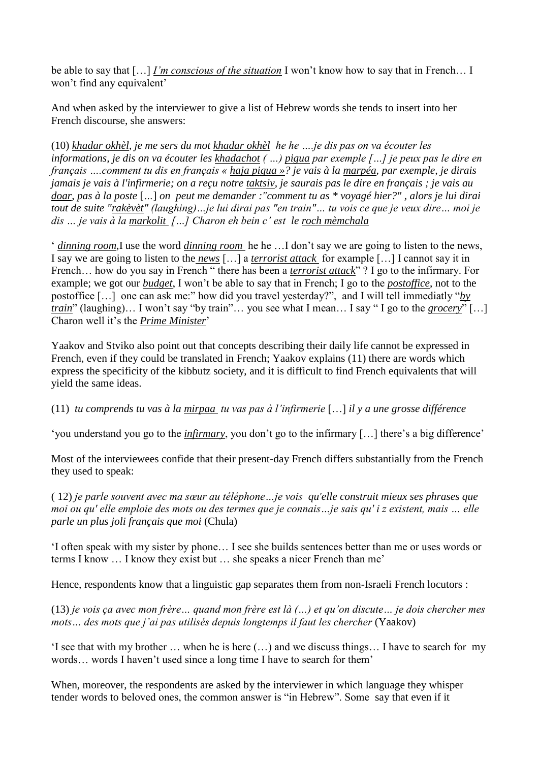be able to say that […] *I'm conscious of the situation* I won"t know how to say that in French… I won't find any equivalent'

And when asked by the interviewer to give a list of Hebrew words she tends to insert into her French discourse, she answers:

(10) *khadar okhèl, je me sers du mot khadar okhèl he he ….je dis pas on va écouter les informations, je dis on va écouter les khadachot ( …) pigua par exemple […] je peux pas le dire en français ….comment tu dis en français « haja pigua »? je vais à la marpéa, par exemple, je dirais jamais je vais à l'infirmerie; on a reçu notre taktsiv, je saurais pas le dire en français ; je vais au doar, pas à la poste* [*…*] *on peut me demander :"comment tu as \* voyagé hier?" , alors je lui dirai tout de suite "rakèvèt" (laughing)…je lui dirai pas "en train"… tu vois ce que je veux dire… moi je dis … je vais à la markolit […] Charon eh bein c' est le roch mèmchala*

" *dinning room*,I use the word *dinning room* he he …I don"t say we are going to listen to the news, I say we are going to listen to the *news* […] a *terrorist attack* for example […] I cannot say it in French… how do you say in French " there has been a *terrorist attack*" ? I go to the infirmary. For example; we got our *budget*, I won"t be able to say that in French; I go to the *postoffice*, not to the postoffice […] one can ask me:" how did you travel yesterday?", and I will tell immediatly "*by train*" (laughing)... I won't say "by train"... you see what I mean... I say "I go to the *grocery*" [...] Charon well it"s the *Prime Minister*"

Yaakov and Stviko also point out that concepts describing their daily life cannot be expressed in French, even if they could be translated in French; Yaakov explains (11) there are words which express the specificity of the kibbutz society, and it is difficult to find French equivalents that will yield the same ideas.

(11) *tu comprends tu vas à la mirpaa tu vas pas à l'infirmerie* […] *il y a une grosse différence*

'you understand you go to the *infirmary*, you don't go to the *infirmary* [...] there's a big difference'

Most of the interviewees confide that their present-day French differs substantially from the French they used to speak:

( 12) *je parle souvent avec ma sœur au téléphone…je vois qu'elle construit mieux ses phrases que moi ou qu' elle emploie des mots ou des termes que je connais…je sais qu' i z existent, mais … elle parle un plus joli français que moi* (Chula)

"I often speak with my sister by phone… I see she builds sentences better than me or uses words or terms I know … I know they exist but … she speaks a nicer French than me"

Hence, respondents know that a linguistic gap separates them from non-Israeli French locutors :

(13) *je vois ça avec mon frère… quand mon frère est là (…) et qu'on discute… je dois chercher mes mots… des mots que j'ai pas utilisés depuis longtemps il faut les chercher* (Yaakov)

'I see that with my brother  $\dots$  when he is here  $(\dots)$  and we discuss things... I have to search for my words... words I haven't used since a long time I have to search for them'

When, moreover, the respondents are asked by the interviewer in which language they whisper tender words to beloved ones, the common answer is "in Hebrew". Some say that even if it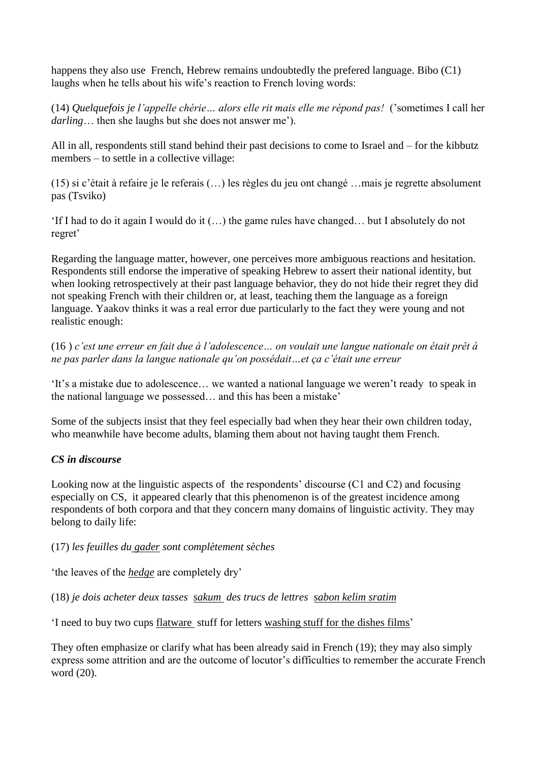happens they also use French, Hebrew remains undoubtedly the prefered language. Bibo (C1) laughs when he tells about his wife's reaction to French loving words:

(14) *Quelquefois je l'appelle chérie… alors elle rit mais elle me répond pas!* ("sometimes I call her *darling*… then she laughs but she does not answer me').

All in all, respondents still stand behind their past decisions to come to Israel and – for the kibbutz members – to settle in a collective village:

(15) si c"était à refaire je le referais (…) les règles du jeu ont changé …mais je regrette absolument pas (Tsviko)

"If I had to do it again I would do it (…) the game rules have changed… but I absolutely do not regret'

Regarding the language matter, however, one perceives more ambiguous reactions and hesitation. Respondents still endorse the imperative of speaking Hebrew to assert their national identity, but when looking retrospectively at their past language behavior, they do not hide their regret they did not speaking French with their children or, at least, teaching them the language as a foreign language. Yaakov thinks it was a real error due particularly to the fact they were young and not realistic enough:

(16 ) *c'est une erreur en fait due à l'adolescence… on voulait une langue nationale on était prêt à ne pas parler dans la langue nationale qu'on possédait…et ça c'était une erreur*

"It"s a mistake due to adolescence… we wanted a national language we weren"t ready to speak in the national language we possessed… and this has been a mistake"

Some of the subjects insist that they feel especially bad when they hear their own children today, who meanwhile have become adults, blaming them about not having taught them French.

## *CS in discourse*

Looking now at the linguistic aspects of the respondents' discourse  $(C1 \text{ and } C2)$  and focusing especially on CS, it appeared clearly that this phenomenon is of the greatest incidence among respondents of both corpora and that they concern many domains of linguistic activity. They may belong to daily life:

(17) *les feuilles du gader sont complètement sèches*

"the leaves of the *hedge* are completely dry"

(18) *je dois acheter deux tasses sakum des trucs de lettres sabon kelim sratim*

"I need to buy two cups flatware stuff for letters washing stuff for the dishes films"

They often emphasize or clarify what has been already said in French (19); they may also simply express some attrition and are the outcome of locutor's difficulties to remember the accurate French word (20).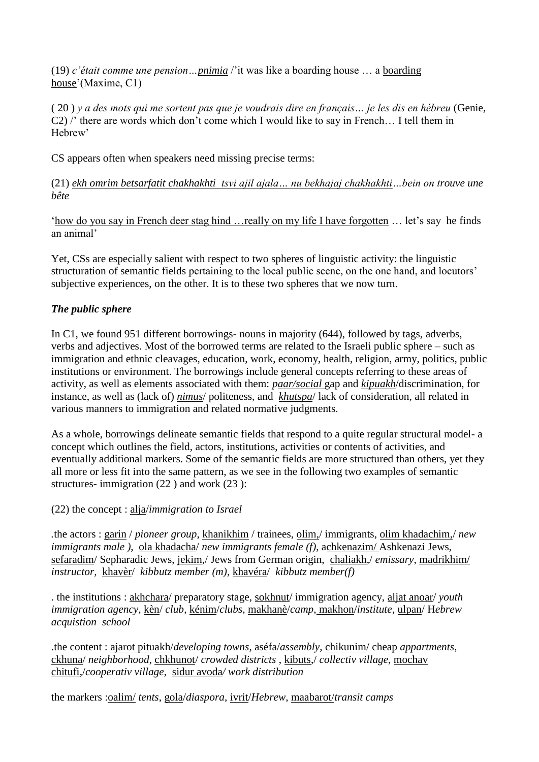(19) *c'était comme une pension…pnimia* /"it was like a boarding house … a boarding house'(Maxime, C1)

( 20 ) *y a des mots qui me sortent pas que je voudrais dire en français… je les dis en hébreu* (Genie, C2) /" there are words which don"t come which I would like to say in French… I tell them in Hebrew'

CS appears often when speakers need missing precise terms:

(21) *ekh omrim betsarfatit chakhakhti tsvi ajil ajala… nu bekhajaj chakhakhti…bein on trouve une bête*

"how do you say in French deer stag hind …really on my life I have forgotten … let"s say he finds an animal"

Yet, CSs are especially salient with respect to two spheres of linguistic activity: the linguistic structuration of semantic fields pertaining to the local public scene, on the one hand, and locutors' subjective experiences, on the other. It is to these two spheres that we now turn.

# *The public sphere*

In C1, we found 951 different borrowings- nouns in majority (644), followed by tags, adverbs, verbs and adjectives. Most of the borrowed terms are related to the Israeli public sphere – such as immigration and ethnic cleavages, education, work, economy, health, religion, army, politics, public institutions or environment. The borrowings include general concepts referring to these areas of activity, as well as elements associated with them: *paar/social* gap and *kipuakh*/discrimination, for instance, as well as (lack of) *nimus*/ politeness, and *khutspa*/ lack of consideration, all related in various manners to immigration and related normative judgments.

As a whole, borrowings delineate semantic fields that respond to a quite regular structural model- a concept which outlines the field, actors, institutions, activities or contents of activities, and eventually additional markers. Some of the semantic fields are more structured than others, yet they all more or less fit into the same pattern, as we see in the following two examples of semantic structures- immigration (22 ) and work (23 ):

(22) the concept : alja/*immigration to Israel*

*.*the actors : garin / *pioneer group*, khanikhim / trainees, olim,/ immigrants, olim khadachim,/ *new immigrants male )*, ola khadacha/ *new immigrants female (f)*, achkenazim/ Ashkenazi Jews, sefaradim/ Sepharadic Jews, jekim,/ Jews from German origin, chaliakh,/ *emissary*, madrikhim/ *instructor,* khavèr/ *kibbutz member (m)*, khavéra/ *kibbutz member(f)*

. the institutions : akhchara/ preparatory stage, sokhnut/ immigration agency, aljat anoar/ *youth immigration agency*, kèn/ *club*, kénim/*clubs*, makhanè/*camp*, makhon/*institute*, ulpan/ H*ebrew acquistion school*

.the content : ajarot pituakh/*developing towns*, aséfa/*assembly*, chikunim/ cheap *appartments*, ckhuna/ *neighborhood*, chkhunot/ *crowded districts* , kibuts,/ *collectiv village*, mochav chitufi,/*cooperativ village*, sidur avoda*/ work distribution*

the markers :oalim/ *tents*, gola/*diaspora*, ivrit/*Hebrew*, maabarot/*transit camps*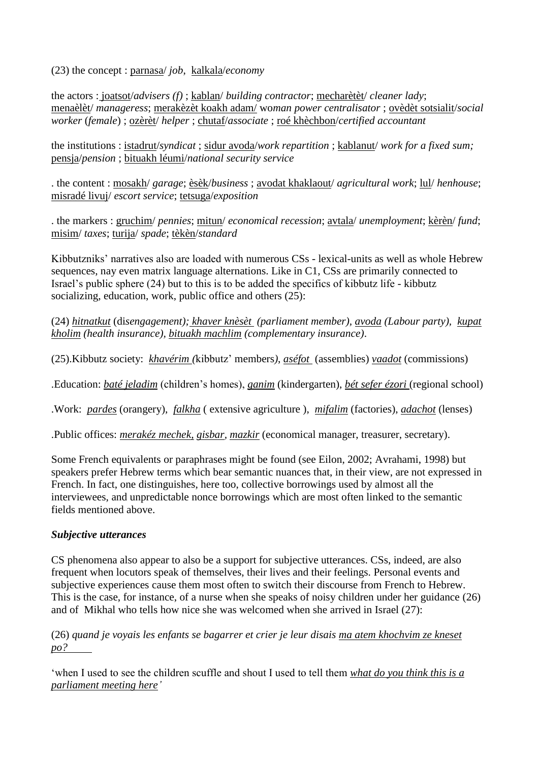(23) the concept : parnasa/ *job*, kalkala/*economy*

the actors : joatsot/*advisers (f)* ; kablan/ *building contractor*; mecharètèt/ *cleaner lady*; menaèlèt/ *manageress*; merakèzèt koakh adam/ wo*man power centralisator* ; ovèdèt sotsialit/*social worker* (*female*) ; ozèrèt/ *helper* ; chutaf/*associate* ; roé khèchbon/*certified accountant*

the institutions : istadrut/*syndicat* ; sidur avoda/*work repartition* ; kablanut/ *work for a fixed sum;* pensja/*pension* ; bituakh léumi/*national security service* 

. the content : mosakh/ *garage*; èsèk/*business* ; avodat khaklaout/ *agricultural work*; lul/ *henhouse*; misradé livuj/ *escort service*; tetsuga/*exposition*

. the markers : gruchim/ *pennies*; mitun/ *economical recession*; avtala/ *unemployment*; kèrèn/ *fund*; misim/ *taxes*; turija/ *spade*; tèkèn/*standard*

Kibbutzniks" narratives also are loaded with numerous CSs - lexical-units as well as whole Hebrew sequences, nay even matrix language alternations. Like in C1, CSs are primarily connected to Israel"s public sphere (24) but to this is to be added the specifics of kibbutz life - kibbutz socializing, education, work, public office and others (25):

(24) *hitnatkut* (di*sengagement); khaver knèsèt (parliament member), avoda (Labour party), kupat kholim (health insurance), bituakh machlim (complementary insurance)*.

(25).Kibbutz society: *khavérim (*kibbutz" members*)*, *aséfot* (assemblies) *vaadot* (commissions)

.Education: *baté jeladim* (children"s homes), *ganim* (kindergarten), *bét sefer ézori* (regional school)

.Work: *pardes* (orangery), *falkha* ( extensive agriculture ), *mifalim* (factories), *adachot* (lenses)

.Public offices: *merakéz mechek, gisbar, mazkir* (economical manager, treasurer, secretary).

Some French equivalents or paraphrases might be found (see Eilon, 2002; Avrahami, 1998) but speakers prefer Hebrew terms which bear semantic nuances that, in their view, are not expressed in French. In fact, one distinguishes, here too, collective borrowings used by almost all the interviewees, and unpredictable nonce borrowings which are most often linked to the semantic fields mentioned above.

#### *Subjective utterances*

CS phenomena also appear to also be a support for subjective utterances. CSs, indeed, are also frequent when locutors speak of themselves, their lives and their feelings. Personal events and subjective experiences cause them most often to switch their discourse from French to Hebrew. This is the case, for instance, of a nurse when she speaks of noisy children under her guidance (26) and of Mikhal who tells how nice she was welcomed when she arrived in Israel (27):

(26) *quand je voyais les enfants se bagarrer et crier je leur disais ma atem khochvim ze kneset po?* 

"when I used to see the children scuffle and shout I used to tell them *what do you think this is a parliament meeting here'*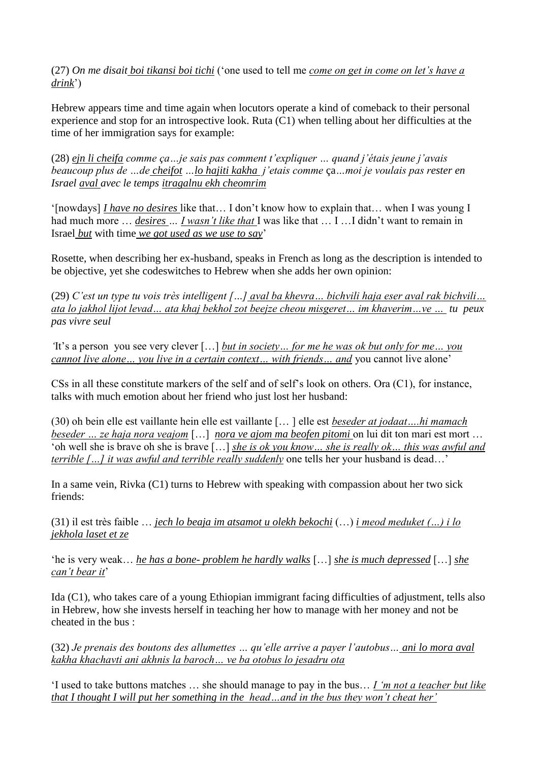(27) *On me disait boi tikansi boi tichi* ("one used to tell me *come on get in come on let's have a drink*")

Hebrew appears time and time again when locutors operate a kind of comeback to their personal experience and stop for an introspective look. Ruta (C1) when telling about her difficulties at the time of her immigration says for example:

(28) *ejn li cheifa comme ça…je sais pas comment t'expliquer … quand j'étais jeune j'avais beaucoup plus de …de cheifot …lo hajiti kakha j'etais comme* ça*…moi je voulais pas rester en Israel aval avec le temps itragalnu ekh cheomrim* 

"[nowdays] *I have no desires* like that… I don"t know how to explain that… when I was young I had much more ... *desires ... I wasn't like that* I was like that ... I ... I didn't want to remain in Israel *but* with time *we got used as we use to say*"

Rosette, when describing her ex-husband, speaks in French as long as the description is intended to be objective, yet she codeswitches to Hebrew when she adds her own opinion:

(29) *C'est un type tu vois très intelligent […] aval ba khevra… bichvili haja eser aval rak bichvili… ata lo jakhol lijot levad… ata khaj bekhol zot beejze cheou misgeret… im khaverim…ve … tu peux pas vivre seul* 

*'*It"s a person you see very clever […] *but in society… for me he was ok but only for me… you cannot live alone… you live in a certain context… with friends… and* you cannot live alone"

CSs in all these constitute markers of the self and of self"s look on others. Ora (C1), for instance, talks with much emotion about her friend who just lost her husband:

(30) oh bein elle est vaillante hein elle est vaillante [… ] elle est *beseder at jodaat….hi mamach beseder … ze haja nora veajom* […] *nora ve ajom ma beofen pitomi* on lui dit ton mari est mort … "oh well she is brave oh she is brave […] *she is ok you know… she is really ok… this was awful and terrible […] it was awful and terrible really suddenly* one tells her your husband is dead...'

In a same vein, Rivka (C1) turns to Hebrew with speaking with compassion about her two sick friends:

(31) il est très faible … *jech lo beaja im atsamot u olekh bekochi* (…) *i meod meduket (…) i lo jekhola laset et ze* 

"he is very weak… *he has a bone- problem he hardly walks* […] *she is much depressed* […] *she can't bear it*'

Ida (C1), who takes care of a young Ethiopian immigrant facing difficulties of adjustment, tells also in Hebrew, how she invests herself in teaching her how to manage with her money and not be cheated in the bus :

(32) *Je prenais des boutons des allumettes … qu'elle arrive a payer l'autobus… ani lo mora aval kakha khachavti ani akhnis la baroch… ve ba otobus lo jesadru ota*

"I used to take buttons matches … she should manage to pay in the bus… *I 'm not a teacher but like that I thought I will put her something in the head…and in the bus they won't cheat her'*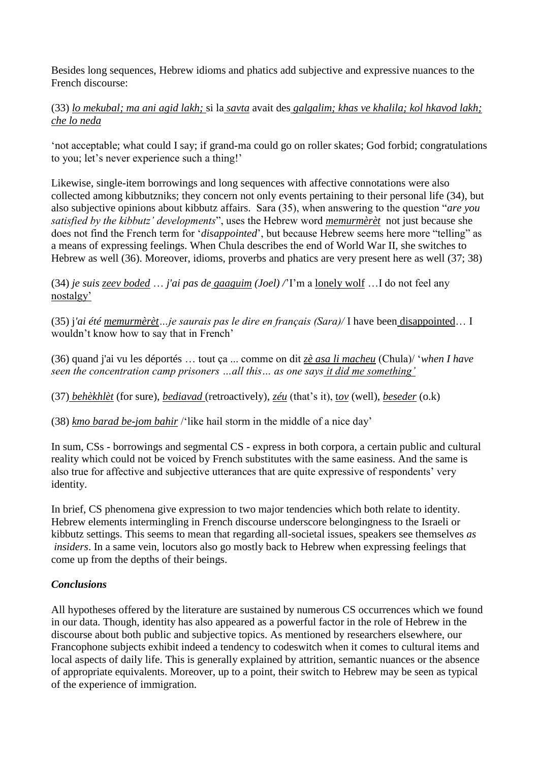Besides long sequences, Hebrew idioms and phatics add subjective and expressive nuances to the French discourse:

(33) *lo mekubal; ma ani agid lakh;* si la *savta* avait des *galgalim; khas ve khalila; kol hkavod lakh; che lo neda*

"not acceptable; what could I say; if grand-ma could go on roller skates; God forbid; congratulations to you; let's never experience such a thing!'

Likewise, single-item borrowings and long sequences with affective connotations were also collected among kibbutzniks; they concern not only events pertaining to their personal life (34), but also subjective opinions about kibbutz affairs. Sara (35), when answering to the question "*are you satisfied by the kibbutz' developments*", uses the Hebrew word *memurmèrèt* not just because she does not find the French term for "*disappointed*", but because Hebrew seems here more "telling" as a means of expressing feelings. When Chula describes the end of World War II, she switches to Hebrew as well (36). Moreover, idioms, proverbs and phatics are very present here as well (37; 38)

(34) *je suis zeev boded* … *j'ai pas de gaaguim (Joel) /*"I"m a lonely wolf …I do not feel any nostalgy"

(35) j*'ai été memurmèrèt…je saurais pas le dire en français (Sara)/* I have been disappointed… I wouldn"t know how to say that in French"

(36) quand j'ai vu les déportés … tout ça ... comme on dit *zè asa li macheu* (Chula)/ "*when I have seen the concentration camp prisoners …all this… as one says it did me something'*

(37) *behèkhlèt* (for sure), *bediavad* (retroactively), *zéu* (that"s it), t*ov* (well), *beseder* (o.k)

(38) *kmo barad be-jom bahir* /"like hail storm in the middle of a nice day"

In sum, CSs - borrowings and segmental CS - express in both corpora, a certain public and cultural reality which could not be voiced by French substitutes with the same easiness. And the same is also true for affective and subjective utterances that are quite expressive of respondents' very identity.

In brief, CS phenomena give expression to two major tendencies which both relate to identity. Hebrew elements intermingling in French discourse underscore belongingness to the Israeli or kibbutz settings. This seems to mean that regarding all-societal issues, speakers see themselves *as insiders*. In a same vein, locutors also go mostly back to Hebrew when expressing feelings that come up from the depths of their beings.

## *Conclusions*

All hypotheses offered by the literature are sustained by numerous CS occurrences which we found in our data. Though, identity has also appeared as a powerful factor in the role of Hebrew in the discourse about both public and subjective topics. As mentioned by researchers elsewhere, our Francophone subjects exhibit indeed a tendency to codeswitch when it comes to cultural items and local aspects of daily life. This is generally explained by attrition, semantic nuances or the absence of appropriate equivalents. Moreover, up to a point, their switch to Hebrew may be seen as typical of the experience of immigration.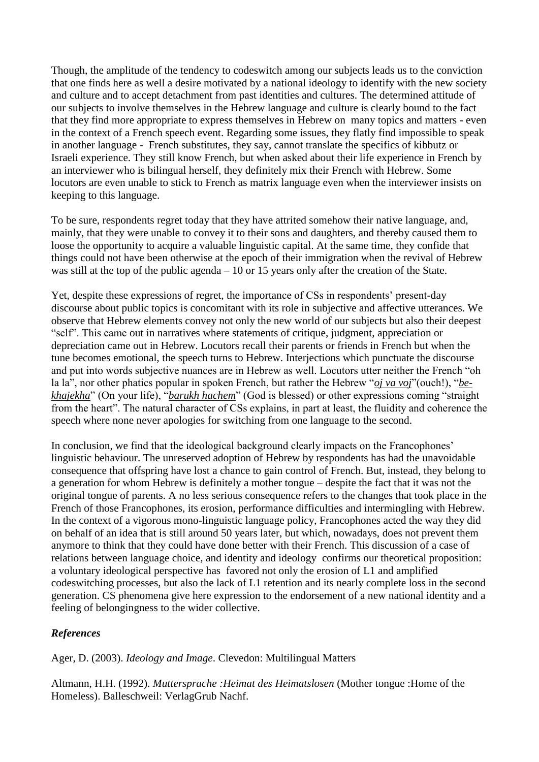Though, the amplitude of the tendency to codeswitch among our subjects leads us to the conviction that one finds here as well a desire motivated by a national ideology to identify with the new society and culture and to accept detachment from past identities and cultures. The determined attitude of our subjects to involve themselves in the Hebrew language and culture is clearly bound to the fact that they find more appropriate to express themselves in Hebrew on many topics and matters - even in the context of a French speech event. Regarding some issues, they flatly find impossible to speak in another language - French substitutes, they say, cannot translate the specifics of kibbutz or Israeli experience. They still know French, but when asked about their life experience in French by an interviewer who is bilingual herself, they definitely mix their French with Hebrew. Some locutors are even unable to stick to French as matrix language even when the interviewer insists on keeping to this language.

To be sure, respondents regret today that they have attrited somehow their native language, and, mainly, that they were unable to convey it to their sons and daughters, and thereby caused them to loose the opportunity to acquire a valuable linguistic capital. At the same time, they confide that things could not have been otherwise at the epoch of their immigration when the revival of Hebrew was still at the top of the public agenda – 10 or 15 years only after the creation of the State.

Yet, despite these expressions of regret, the importance of CSs in respondents' present-day discourse about public topics is concomitant with its role in subjective and affective utterances. We observe that Hebrew elements convey not only the new world of our subjects but also their deepest "self". This came out in narratives where statements of critique, judgment, appreciation or depreciation came out in Hebrew. Locutors recall their parents or friends in French but when the tune becomes emotional, the speech turns to Hebrew. Interjections which punctuate the discourse and put into words subjective nuances are in Hebrew as well. Locutors utter neither the French "oh la la", nor other phatics popular in spoken French, but rather the Hebrew "*oj va voj*"(ouch!), "*bekhajekha*" (On your life), "*barukh hachem*" (God is blessed) or other expressions coming "straight from the heart". The natural character of CSs explains, in part at least, the fluidity and coherence the speech where none never apologies for switching from one language to the second.

In conclusion, we find that the ideological background clearly impacts on the Francophones' linguistic behaviour. The unreserved adoption of Hebrew by respondents has had the unavoidable consequence that offspring have lost a chance to gain control of French. But, instead, they belong to a generation for whom Hebrew is definitely a mother tongue – despite the fact that it was not the original tongue of parents. A no less serious consequence refers to the changes that took place in the French of those Francophones, its erosion, performance difficulties and intermingling with Hebrew. In the context of a vigorous mono-linguistic language policy, Francophones acted the way they did on behalf of an idea that is still around 50 years later, but which, nowadays, does not prevent them anymore to think that they could have done better with their French. This discussion of a case of relations between language choice, and identity and ideology confirms our theoretical proposition: a voluntary ideological perspective has favored not only the erosion of L1 and amplified codeswitching processes, but also the lack of L1 retention and its nearly complete loss in the second generation. CS phenomena give here expression to the endorsement of a new national identity and a feeling of belongingness to the wider collective.

## *References*

Ager, D. (2003). *Ideology and Image*. Clevedon: Multilingual Matters

Altmann, H.H. (1992). *Muttersprache :Heimat des Heimatslosen* (Mother tongue :Home of the Homeless). Balleschweil: VerlagGrub Nachf.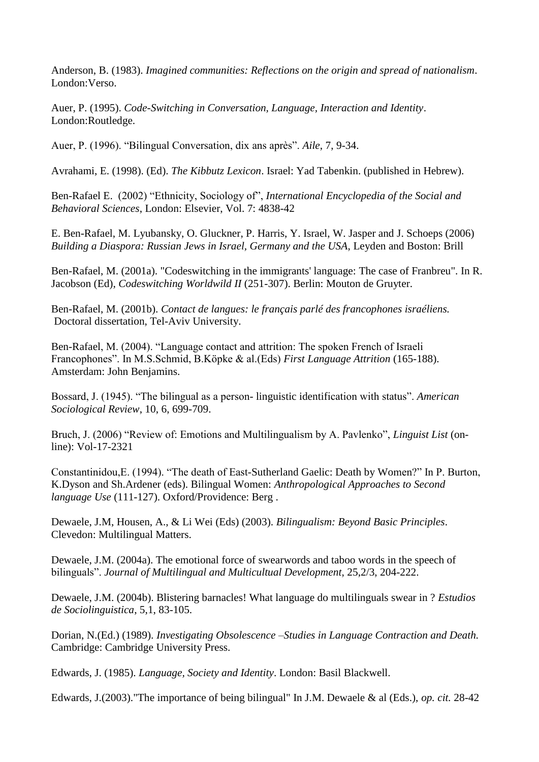Anderson, B. (1983). *Imagined communities: Reflections on the origin and spread of nationalism*. London:Verso.

Auer, P. (1995). *Code-Switching in Conversation, Language, Interaction and Identity*. London:Routledge.

Auer, P. (1996). "Bilingual Conversation, dix ans après". *Aile*, 7, 9-34.

Avrahami, E. (1998). (Ed). *The Kibbutz Lexicon*. Israel: Yad Tabenkin. (published in Hebrew).

Ben-Rafael E. (2002) "Ethnicity, Sociology of", *International Encyclopedia of the Social and Behavioral Sciences*, London: Elsevier, Vol. 7: 4838-42

E. Ben-Rafael, M. Lyubansky, O. Gluckner, P. Harris, Y. Israel, W. Jasper and J. Schoeps (2006) *Building a Diaspora: Russian Jews in Israel, Germany and the USA*, Leyden and Boston: Brill

Ben-Rafael, M. (2001a). "Codeswitching in the immigrants' language: The case of Franbreu". In R. Jacobson (Ed), *Codeswitching Worldwild II* (251-307). Berlin: Mouton de Gruyter.

Ben-Rafael, M. (2001b). *Contact de langues: le français parlé des francophones israéliens.*  Doctoral dissertation, Tel-Aviv University.

Ben-Rafael, M. (2004). "Language contact and attrition: The spoken French of Israeli Francophones". In M.S.Schmid, B.Köpke & al.(Eds) *First Language Attrition* (165-188). Amsterdam: John Benjamins.

Bossard, J. (1945). "The bilingual as a person- linguistic identification with status". *American Sociological Review*, 10, 6, 699-709.

Bruch, J. (2006) "Review of: Emotions and Multilingualism by A. Pavlenko", *Linguist List* (online): Vol-17-2321

Constantinidou,E. (1994). "The death of East-Sutherland Gaelic: Death by Women?" In P. Burton, K.Dyson and Sh.Ardener (eds). Bilingual Women: *Anthropological Approaches to Second language Use* (111-127). Oxford/Providence: Berg .

Dewaele, J.M, Housen, A., & Li Wei (Eds) (2003). *Bilingualism: Beyond Basic Principles*. Clevedon: Multilingual Matters.

Dewaele, J.M. (2004a). The emotional force of swearwords and taboo words in the speech of bilinguals". *Journal of Multilingual and Multicultual Development*, 25,2/3, 204-222.

Dewaele, J.M. (2004b). Blistering barnacles! What language do multilinguals swear in ? *Estudios de Sociolinguistica*, 5,1, 83-105.

Dorian, N.(Ed.) (1989). *Investigating Obsolescence –Studies in Language Contraction and Death.*  Cambridge: Cambridge University Press.

Edwards, J. (1985). *Language, Society and Identity*. London: Basil Blackwell.

Edwards, J.(2003)."The importance of being bilingual" In J.M. Dewaele & al (Eds.), *op. cit.* 28-42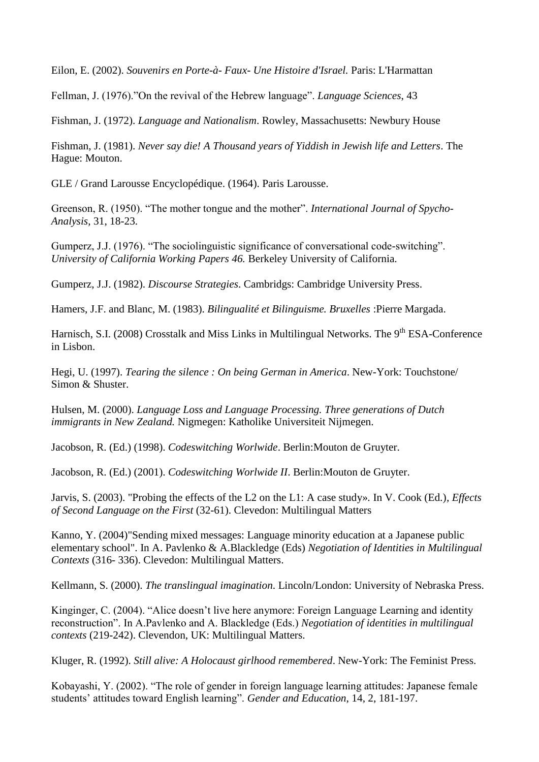Eilon, E. (2002). *Souvenirs en Porte-à- Faux- Une Histoire d'Israel.* Paris: L'Harmattan

Fellman, J. (1976)."On the revival of the Hebrew language". *Language Sciences*, 43

Fishman, J. (1972). *Language and Nationalism*. Rowley, Massachusetts: Newbury House

Fishman, J. (1981). *Never say die! A Thousand years of Yiddish in Jewish life and Letters*. The Hague: Mouton.

GLE / Grand Larousse Encyclopédique. (1964). Paris Larousse.

Greenson, R. (1950). "The mother tongue and the mother". *International Journal of Spycho-Analysis*, 31, 18-23.

Gumperz, J.J. (1976). "The sociolinguistic significance of conversational code-switching". *University of California Working Papers 46.* Berkeley University of California.

Gumperz, J.J. (1982). *Discourse Strategies*. Cambridgs: Cambridge University Press.

Hamers, J.F. and Blanc, M. (1983). *Bilingualité et Bilinguisme. Bruxelles* :Pierre Margada.

Harnisch, S.I. (2008) Crosstalk and Miss Links in Multilingual Networks. The 9<sup>th</sup> ESA-Conference in Lisbon.

Hegi, U. (1997). *Tearing the silence : On being German in America*. New-York: Touchstone/ Simon & Shuster.

Hulsen, M. (2000). *Language Loss and Language Processing. Three generations of Dutch immigrants in New Zealand.* Nigmegen: Katholike Universiteit Nijmegen.

Jacobson, R. (Ed.) (1998). *Codeswitching Worlwide*. Berlin:Mouton de Gruyter.

Jacobson, R. (Ed.) (2001). *Codeswitching Worlwide II*. Berlin:Mouton de Gruyter.

Jarvis, S. (2003). "Probing the effects of the L2 on the L1: A case study». In V. Cook (Ed.)*, Effects of Second Language on the First* (32-61). Clevedon: Multilingual Matters

Kanno, Y. (2004)"Sending mixed messages: Language minority education at a Japanese public elementary school". In A. Pavlenko & A.Blackledge (Eds) *Negotiation of Identities in Multilingual Contexts* (316- 336). Clevedon: Multilingual Matters.

Kellmann, S. (2000). *The translingual imagination*. Lincoln/London: University of Nebraska Press.

Kinginger, C. (2004). "Alice doesn't live here anymore: Foreign Language Learning and identity reconstruction". In A.Pavlenko and A. Blackledge (Eds.) *Negotiation of identities in multilingual contexts* (219-242). Clevendon, UK: Multilingual Matters.

Kluger, R. (1992). *Still alive: A Holocaust girlhood remembered*. New-York: The Feminist Press.

Kobayashi, Y. (2002). "The role of gender in foreign language learning attitudes: Japanese female students" attitudes toward English learning". *Gender and Education*, 14, 2, 181-197.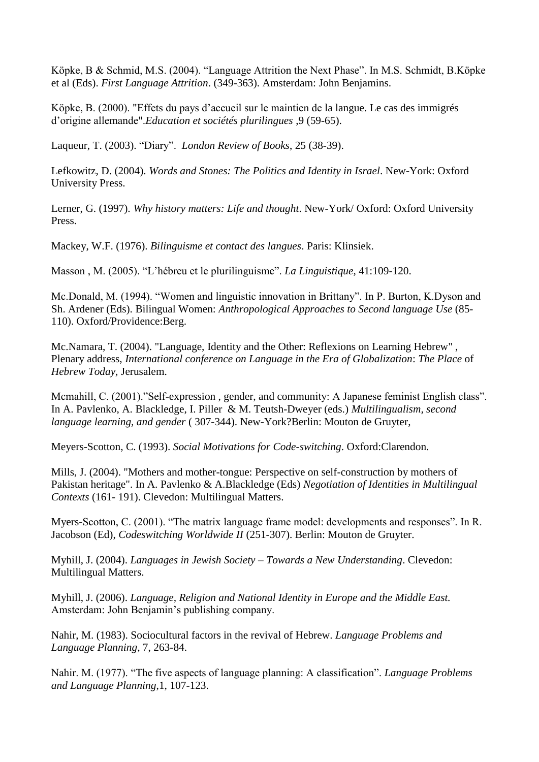Köpke, B & Schmid, M.S. (2004). "Language Attrition the Next Phase". In M.S. Schmidt, B.Köpke et al (Eds). *First Language Attrition*. (349-363). Amsterdam: John Benjamins.

Köpke, B. (2000). "Effets du pays d"accueil sur le maintien de la langue. Le cas des immigrés d"origine allemande".*Education et sociétés plurilingues* ,9 (59-65).

Laqueur, T. (2003). "Diary". *London Review of Books*, 25 (38-39).

Lefkowitz, D. (2004). *Words and Stones: The Politics and Identity in Israel*. New-York: Oxford University Press.

Lerner, G. (1997). *Why history matters: Life and thought*. New-York/ Oxford: Oxford University Press.

Mackey, W.F. (1976). *Bilinguisme et contact des langues*. Paris: Klinsiek.

Masson , M. (2005). "L"hébreu et le plurilinguisme". *La Linguistique*, 41:109-120.

Mc.Donald, M. (1994). "Women and linguistic innovation in Brittany". In P. Burton, K.Dyson and Sh. Ardener (Eds). Bilingual Women: *Anthropological Approaches to Second language Use* (85- 110). Oxford/Providence:Berg.

Mc.Namara, T. (2004). "Language, Identity and the Other: Reflexions on Learning Hebrew" , Plenary address, *International conference on Language in the Era of Globalization*: *The Place* of *Hebrew Today,* Jerusalem.

Mcmahill, C. (2001)."Self-expression , gender, and community: A Japanese feminist English class". In A. Pavlenko, A. Blackledge, I. Piller & M. Teutsh-Dweyer (eds.) *Multilingualism, second language learning, and gender* ( 307-344). New-York?Berlin: Mouton de Gruyter,

Meyers-Scotton, C. (1993). *Social Motivations for Code-switching*. Oxford:Clarendon.

Mills, J. (2004). "Mothers and mother-tongue: Perspective on self-construction by mothers of Pakistan heritage". In A. Pavlenko & A.Blackledge (Eds) *Negotiation of Identities in Multilingual Contexts* (161- 191). Clevedon: Multilingual Matters.

Myers-Scotton, C. (2001). "The matrix language frame model: developments and responses". In R. Jacobson (Ed), *Codeswitching Worldwide II* (251-307). Berlin: Mouton de Gruyter.

Myhill, J. (2004). *Languages in Jewish Society – Towards a New Understanding*. Clevedon: Multilingual Matters.

Myhill, J. (2006). *Language, Religion and National Identity in Europe and the Middle East.*  Amsterdam: John Benjamin's publishing company.

Nahir, M. (1983). Sociocultural factors in the revival of Hebrew. *Language Problems and Language Planning*, 7, 263-84.

Nahir. M. (1977). "The five aspects of language planning: A classification". *Language Problems and Language Planning*,1, 107-123.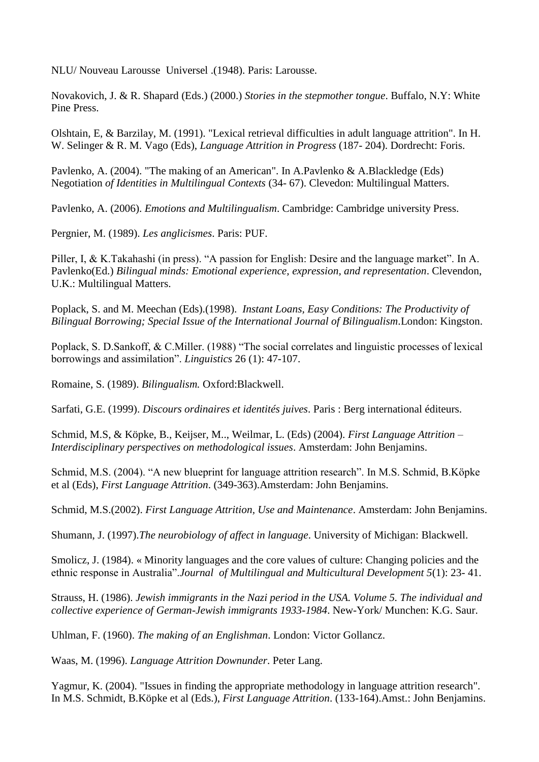NLU/ Nouveau Larousse Universel .(1948). Paris: Larousse.

Novakovich, J. & R. Shapard (Eds.) (2000.) *Stories in the stepmother tongue*. Buffalo, N.Y: White Pine Press.

Olshtain, E, & Barzilay, M. (1991). "Lexical retrieval difficulties in adult language attrition". In H. W. Selinger & R. M. Vago (Eds), *Language Attrition in Progress* (187- 204). Dordrecht: Foris.

Pavlenko, A. (2004). "The making of an American". In A.Pavlenko & A.Blackledge (Eds) Negotiation *of Identities in Multilingual Contexts* (34- 67). Clevedon: Multilingual Matters.

Pavlenko, A. (2006). *Emotions and Multilingualism*. Cambridge: Cambridge university Press.

Pergnier, M. (1989). *Les anglicismes*. Paris: PUF.

Piller, I, & K.Takahashi (in press). "A passion for English: Desire and the language market". In A. Pavlenko(Ed.) *Bilingual minds: Emotional experience, expression, and representation*. Clevendon, U.K.: Multilingual Matters.

Poplack, S. and M. Meechan (Eds).(1998). *Instant Loans, Easy Conditions: The Productivity of Bilingual Borrowing; Special Issue of the International Journal of Bilingualism*.London: Kingston.

Poplack, S. D.Sankoff, & C.Miller. (1988) "The social correlates and linguistic processes of lexical borrowings and assimilation". *Linguistics* 26 (1): 47-107.

Romaine, S. (1989). *Bilingualism.* Oxford:Blackwell.

Sarfati, G.E. (1999). *Discours ordinaires et identités juives*. Paris : Berg international éditeurs.

Schmid, M.S, & Köpke, B., Keijser, M.., Weilmar, L. (Eds) (2004). *First Language Attrition* – *Interdisciplinary perspectives on methodological issues*. Amsterdam: John Benjamins.

Schmid, M.S. (2004). "A new blueprint for language attrition research". In M.S. Schmid, B.Köpke et al (Eds), *First Language Attrition*. (349-363).Amsterdam: John Benjamins.

Schmid, M.S.(2002). *First Language Attrition, Use and Maintenance*. Amsterdam: John Benjamins.

Shumann, J. (1997).*The neurobiology of affect in language*. University of Michigan: Blackwell.

Smolicz, J. (1984). « Minority languages and the core values of culture: Changing policies and the ethnic response in Australia".*Journal of Multilingual and Multicultural Development 5*(1): 23- 41.

Strauss, H. (1986). *Jewish immigrants in the Nazi period in the USA. Volume 5. The individual and collective experience of German-Jewish immigrants 1933-1984*. New-York/ Munchen: K.G. Saur.

Uhlman, F. (1960). *The making of an Englishman*. London: Victor Gollancz.

Waas, M. (1996). *Language Attrition Downunder*. Peter Lang.

Yagmur, K. (2004). "Issues in finding the appropriate methodology in language attrition research". In M.S. Schmidt, B.Köpke et al (Eds.), *First Language Attrition*. (133-164).Amst.: John Benjamins.